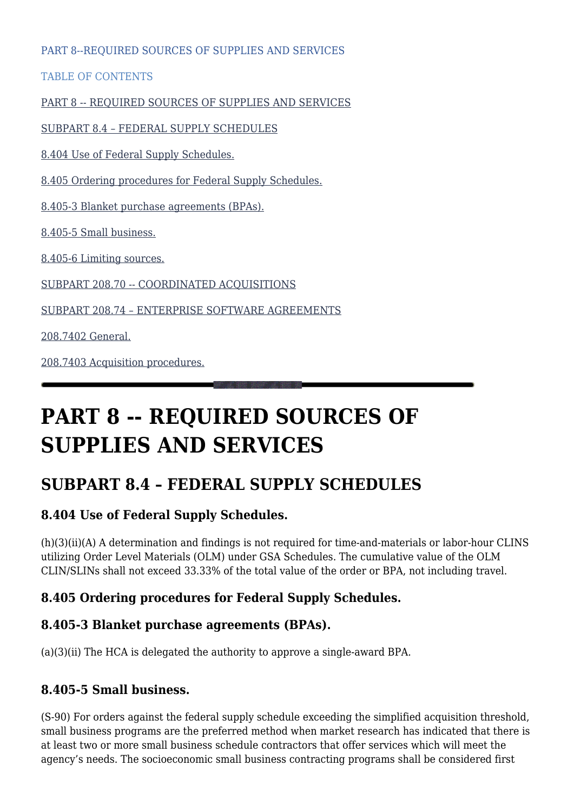PART 8--REQUIRED SOURCES OF SUPPLIES AND SERVICES

TABLE OF CONTENTS

[PART 8 -- REQUIRED SOURCES OF SUPPLIES AND SERVICES](#page--1-0)

[SUBPART 8.4 – FEDERAL SUPPLY SCHEDULES](#page--1-0)

[8.404 Use of Federal Supply Schedules.](#page--1-0)

[8.405 Ordering procedures for Federal Supply Schedules.](#page--1-0)

[8.405-3 Blanket purchase agreements \(BPAs\).](#page--1-0)

[8.405-5 Small business.](#page--1-0)

[8.405-6 Limiting sources.](#page--1-0)

[SUBPART 208.70 -- COORDINATED ACQUISITIONS](#page--1-0)

[SUBPART 208.74 – ENTERPRISE SOFTWARE AGREEMENTS](#page--1-0)

[208.7402 General.](#page--1-0)

[208.7403 Acquisition procedures.](#page--1-0)

# **PART 8 -- REQUIRED SOURCES OF SUPPLIES AND SERVICES**

# **SUBPART 8.4 – FEDERAL SUPPLY SCHEDULES**

# **8.404 Use of Federal Supply Schedules.**

(h)(3)(ii)(A) A determination and findings is not required for time-and-materials or labor-hour CLINS utilizing Order Level Materials (OLM) under GSA Schedules. The cumulative value of the OLM CLIN/SLINs shall not exceed 33.33% of the total value of the order or BPA, not including travel.

# **8.405 Ordering procedures for Federal Supply Schedules.**

# **8.405-3 Blanket purchase agreements (BPAs).**

(a)(3)(ii) The HCA is delegated the authority to approve a single-award BPA.

# **8.405-5 Small business.**

(S-90) For orders against the federal supply schedule exceeding the simplified acquisition threshold, small business programs are the preferred method when market research has indicated that there is at least two or more small business schedule contractors that offer services which will meet the agency's needs. The socioeconomic small business contracting programs shall be considered first